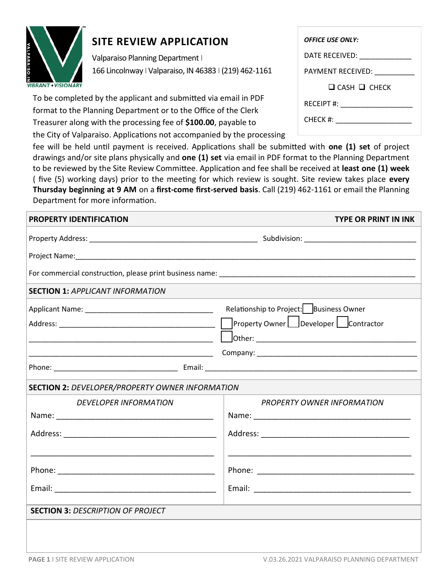

## **SITE REVIEW APPLICATION**

Valparaiso Planning Department I 166 Lincolnway I Valparaiso, IN 46383 I (219) 462-1161

To be completed by the applicant and submitted via email in PDF format to the Planning Department or to the Office of the Clerk Treasurer along with the processing fee of **\$100.00**, payable to the City of Valparaiso. Applications not accompanied by the processing

fee will be held until payment is received. Applications shall be submitted with **one (1) set** of project drawings and/or site plans physically and **one (1) set** via email in PDF format to the Planning Department to be reviewed by the Site Review Committee. Application and fee shall be received at **least one (1) week**  ( five (5) working days) prior to the meeting for which review is sought. Site review takes place **every Thursday beginning at 9 AM** on a **first-come first-served basis**. Call (219) 462-1161 or email the Planning Department for more information.

| PROPERTY IDENTIFICATION                                     | TYPE OR PRINT IN INK                      |
|-------------------------------------------------------------|-------------------------------------------|
|                                                             |                                           |
|                                                             |                                           |
|                                                             |                                           |
| <b>SECTION 1: APPLICANT INFORMATION</b>                     |                                           |
|                                                             | Relationship to Project:   Business Owner |
|                                                             | Property Owner   Developer   Contractor   |
|                                                             |                                           |
| <u> 1980 - Johann Stoff, amerikansk politiker (d. 1980)</u> |                                           |
|                                                             |                                           |
| <b>SECTION 2: DEVELOPER/PROPERTY OWNER INFORMATION</b>      |                                           |
| <b>DEVELOPER INFORMATION</b>                                | <b>PROPERTY OWNER INFORMATION</b>         |
|                                                             |                                           |
|                                                             |                                           |
|                                                             |                                           |
|                                                             |                                           |
|                                                             |                                           |
|                                                             |                                           |
| <b>SECTION 3: DESCRIPTION OF PROJECT</b>                    |                                           |
|                                                             |                                           |
|                                                             |                                           |

| <b>OFFICE USE ONLY:</b>  |  |  |
|--------------------------|--|--|
| DATE RECEIVED:           |  |  |
| PAYMENT RECEIVED:        |  |  |
| $\Box$ CASH $\Box$ CHECK |  |  |
|                          |  |  |
|                          |  |  |
| CHECK #:                 |  |  |